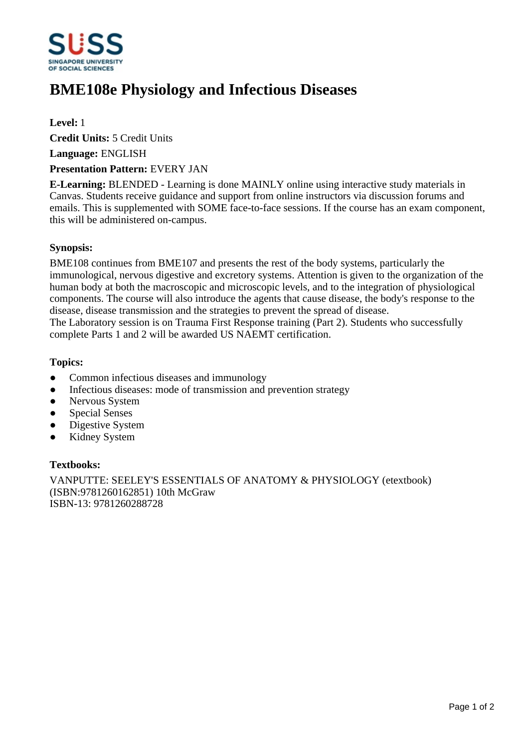

# **BME108e Physiology and Infectious Diseases**

## **Level:** 1

**Credit Units:** 5 Credit Units

**Language:** ENGLISH

### **Presentation Pattern:** EVERY JAN

**E-Learning:** BLENDED - Learning is done MAINLY online using interactive study materials in Canvas. Students receive guidance and support from online instructors via discussion forums and emails. This is supplemented with SOME face-to-face sessions. If the course has an exam component, this will be administered on-campus.

### **Synopsis:**

BME108 continues from BME107 and presents the rest of the body systems, particularly the immunological, nervous digestive and excretory systems. Attention is given to the organization of the human body at both the macroscopic and microscopic levels, and to the integration of physiological components. The course will also introduce the agents that cause disease, the body's response to the disease, disease transmission and the strategies to prevent the spread of disease.

The Laboratory session is on Trauma First Response training (Part 2). Students who successfully complete Parts 1 and 2 will be awarded US NAEMT certification.

### **Topics:**

- Common infectious diseases and immunology
- Infectious diseases: mode of transmission and prevention strategy
- Nervous System
- Special Senses
- Digestive System
- Kidney System

#### **Textbooks:**

VANPUTTE: SEELEY'S ESSENTIALS OF ANATOMY & PHYSIOLOGY (etextbook) (ISBN:9781260162851) 10th McGraw ISBN-13: 9781260288728